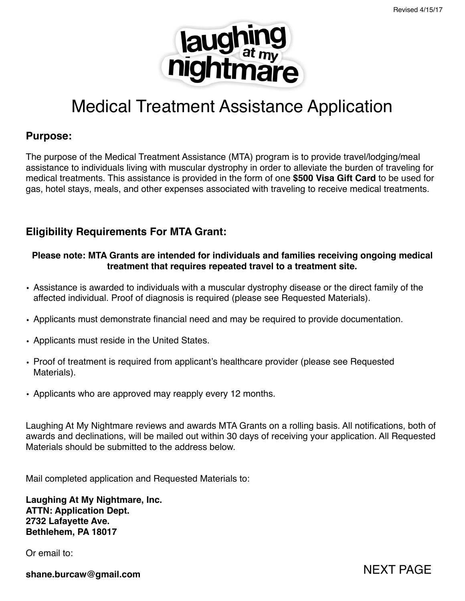NEXT PAGE



# Medical Treatment Assistance Application

### **Purpose:**

The purpose of the Medical Treatment Assistance (MTA) program is to provide travel/lodging/meal assistance to individuals living with muscular dystrophy in order to alleviate the burden of traveling for medical treatments. This assistance is provided in the form of one **\$500 Visa Gift Card** to be used for gas, hotel stays, meals, and other expenses associated with traveling to receive medical treatments.

# **Eligibility Requirements For MTA Grant:**

#### **Please note: MTA Grants are intended for individuals and families receiving ongoing medical treatment that requires repeated travel to a treatment site.**

- Assistance is awarded to individuals with a muscular dystrophy disease or the direct family of the affected individual. Proof of diagnosis is required (please see Requested Materials).
- Applicants must demonstrate financial need and may be required to provide documentation.
- Applicants must reside in the United States.
- Proof of treatment is required from applicant's healthcare provider (please see Requested Materials).
- Applicants who are approved may reapply every 12 months.

Laughing At My Nightmare reviews and awards MTA Grants on a rolling basis. All notifications, both of awards and declinations, will be mailed out within 30 days of receiving your application. All Requested Materials should be submitted to the address below.

Mail completed application and Requested Materials to:

**Laughing At My Nightmare, Inc. ATTN: Application Dept. 2732 Lafayette Ave. Bethlehem, PA 18017**

Or email to:

**shane.burcaw@gmail.com**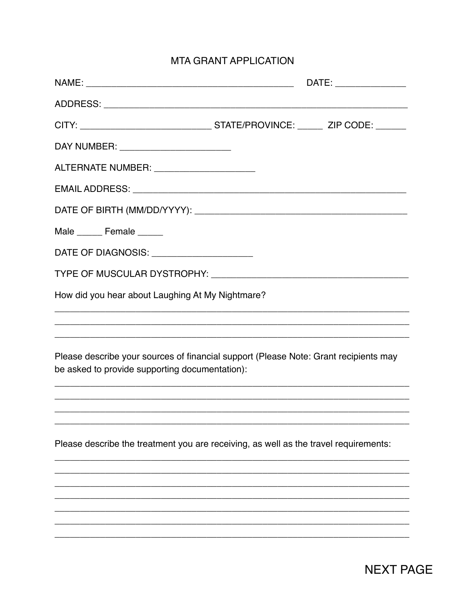# **MTA GRANT APPLICATION**

|                                                                                                                                        |                                                                                  | DATE: ________________ |
|----------------------------------------------------------------------------------------------------------------------------------------|----------------------------------------------------------------------------------|------------------------|
|                                                                                                                                        |                                                                                  |                        |
|                                                                                                                                        |                                                                                  |                        |
| DAY NUMBER: ________________________                                                                                                   |                                                                                  |                        |
| ALTERNATE NUMBER: ________________________                                                                                             |                                                                                  |                        |
|                                                                                                                                        |                                                                                  |                        |
|                                                                                                                                        |                                                                                  |                        |
| Male _______ Female ______                                                                                                             |                                                                                  |                        |
| DATE OF DIAGNOSIS: ______________________                                                                                              |                                                                                  |                        |
|                                                                                                                                        |                                                                                  |                        |
| How did you hear about Laughing At My Nightmare?                                                                                       |                                                                                  |                        |
|                                                                                                                                        | ,我们也不能在这里的时候,我们也不能在这里的时候,我们也不能会不能会不能会不能会不能会不能会不能会。""我们的人们,我们也不能会不能会不能会不能会不能会不能会不 |                        |
| Please describe your sources of financial support (Please Note: Grant recipients may<br>be asked to provide supporting documentation): |                                                                                  |                        |
|                                                                                                                                        |                                                                                  |                        |
|                                                                                                                                        |                                                                                  |                        |
| Please describe the treatment you are receiving, as well as the travel requirements:                                                   |                                                                                  |                        |
|                                                                                                                                        |                                                                                  |                        |
|                                                                                                                                        |                                                                                  |                        |
|                                                                                                                                        |                                                                                  |                        |
|                                                                                                                                        |                                                                                  |                        |
|                                                                                                                                        |                                                                                  |                        |